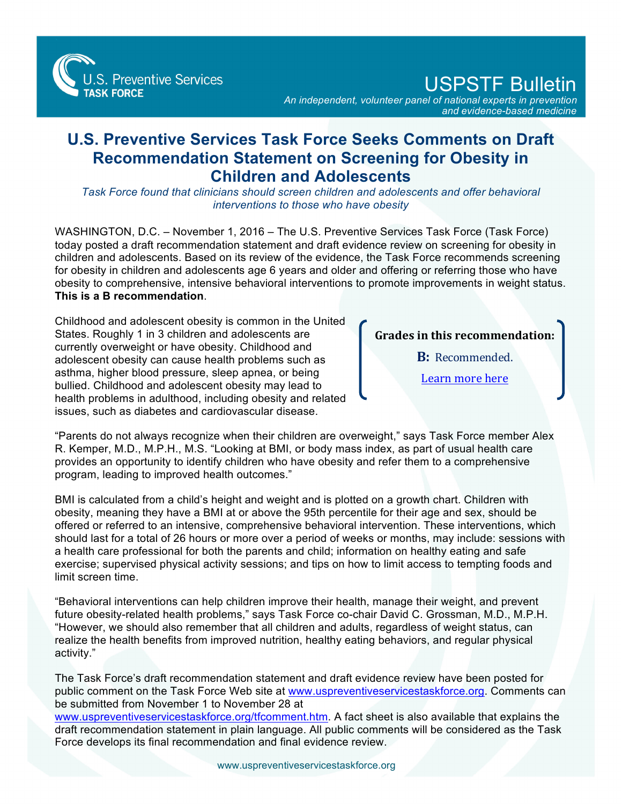S. Preventive Services **TASK FORCE** 

USPSTF Bulletin

*An independent, volunteer panel of national experts in prevention and evidence-based medicine*

## **U.S. Preventive Services Task Force Seeks Comments on Draft Recommendation Statement on Screening for Obesity in Children and Adolescents**

*Task Force found that clinicians should screen children and adolescents and offer behavioral interventions to those who have obesity*

WASHINGTON, D.C. – November 1, 2016 – The U.S. Preventive Services Task Force (Task Force) today posted a draft recommendation statement and draft evidence review on screening for obesity in children and adolescents. Based on its review of the evidence, the Task Force recommends screening for obesity in children and adolescents age 6 years and older and offering or referring those who have obesity to comprehensive, intensive behavioral interventions to promote improvements in weight status. **This is a B recommendation**.

Childhood and adolescent obesity is common in the United States. Roughly 1 in 3 children and adolescents are currently overweight or have obesity. Childhood and adolescent obesity can cause health problems such as asthma, higher blood pressure, sleep apnea, or being bullied. Childhood and adolescent obesity may lead to health problems in adulthood, including obesity and related issues, such as diabetes and cardiovascular disease.

## **Grades** in this recommendation:

**B:** Recommended.

Learn more here

"Parents do not always recognize when their children are overweight," says Task Force member Alex R. Kemper, M.D., M.P.H., M.S. "Looking at BMI, or body mass index, as part of usual health care provides an opportunity to identify children who have obesity and refer them to a comprehensive program, leading to improved health outcomes."

BMI is calculated from a child's height and weight and is plotted on a growth chart. Children with obesity, meaning they have a BMI at or above the 95th percentile for their age and sex, should be offered or referred to an intensive, comprehensive behavioral intervention. These interventions, which should last for a total of 26 hours or more over a period of weeks or months, may include: sessions with a health care professional for both the parents and child; information on healthy eating and safe exercise; supervised physical activity sessions; and tips on how to limit access to tempting foods and limit screen time.

"Behavioral interventions can help children improve their health, manage their weight, and prevent future obesity-related health problems," says Task Force co-chair David C. Grossman, M.D., M.P.H. "However, we should also remember that all children and adults, regardless of weight status, can realize the health benefits from improved nutrition, healthy eating behaviors, and regular physical activity."

The Task Force's draft recommendation statement and draft evidence review have been posted for public comment on the Task Force Web site at [www.uspreventiveservicestaskforce.org.](http://www.uspreventiveservicestaskforce.org) Comments can be submitted from November 1 to November 28 at

[www.uspreventiveservicestaskforce.org/tfcomment.htm.](http://www.uspreventiveservicestaskforce.org/tfcomment.htm) A fact sheet is also available that explains the draft recommendation statement in plain language. All public comments will be considered as the Task Force develops its final recommendation and final evidence review.